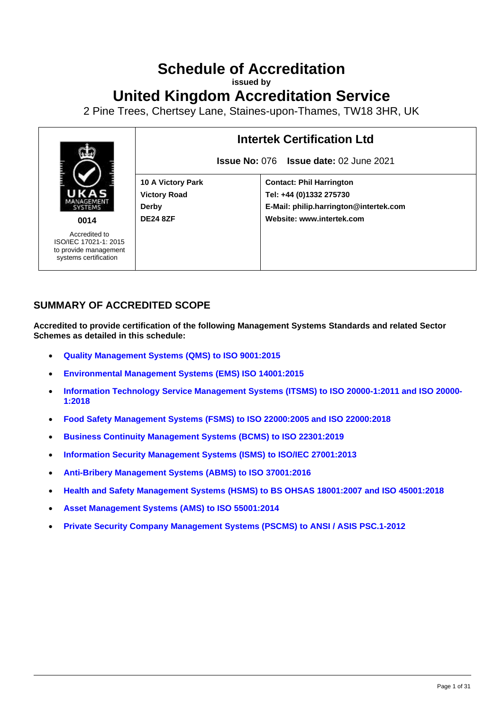## **Schedule of Accreditation**

**issued by**

**United Kingdom Accreditation Service**

2 Pine Trees, Chertsey Lane, Staines-upon-Thames, TW18 3HR, UK



## **SUMMARY OF ACCREDITED SCOPE**

**Accredited to provide certification of the following Management Systems Standards and related Sector Schemes as detailed in this schedule:**

- **[Quality Management Systems](#page-2-0) (QMS) to ISO 9001:2015**
- **[Environmental Management Systems](#page-6-0) (EMS) ISO 14001:2015**
- **[Information Technology Service Management Systems](#page-9-0) (ITSMS) to ISO 20000-1:2011 and ISO 20000- [1:2018](#page-9-0)**
- **[Food Safety Management Systems](#page-10-0) (FSMS) to ISO 22000:2005 and ISO 22000:2018**
- **[Business Continuity Management Systems](#page-17-0) (BCMS) to ISO 22301:2019**
- **[Information Security Management Systems](#page-21-0) (ISMS) to ISO/IEC 27001:2013**
- **[Anti-Bribery Management Systems](#page-22-0) (ABMS) to ISO 37001:2016**
- **[Health and Safety Management Systems](#page-23-0) (HSMS) to BS OHSAS 18001:2007 and ISO 45001:2018**
- **[Asset Management Systems](#page-28-0) (AMS) to ISO 55001:2014**
- **[Private Security Company Management Systems](#page-30-0) (PSCMS) to ANSI / ASIS PSC.1-2012**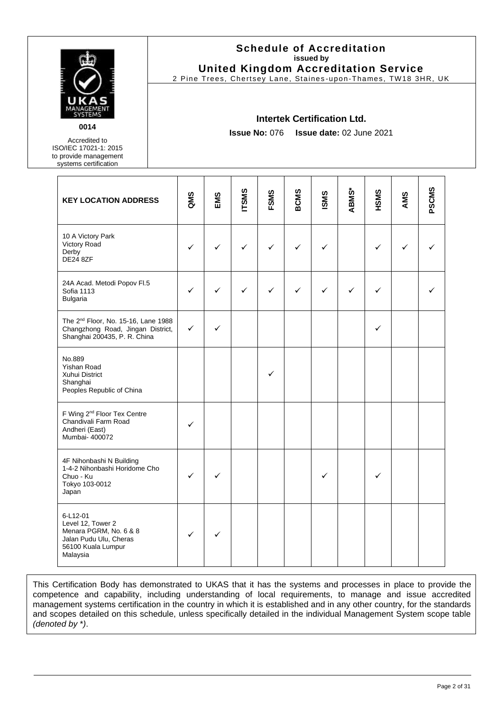

Accredited to ISO/IEC 17021-1: 2015 to provide management systems certification

#### **Schedule of Accreditation issued by United Kingdom Accreditation Service**

2 Pine Trees, Chertsey Lane, Staines -upon-Thames, TW18 3HR, UK

#### **Intertek Certification Ltd.**

**Issue No:** 076 **Issue date:** 02 June 2021

| <b>KEY LOCATION ADDRESS</b>                                                                                          | QMS          | EMS | <b>ITSMS</b> | <b>FSMS</b> | <b>BCMS</b> | <b>ISMS</b> | ABMS* | HSMS | AMS | PSCMS |
|----------------------------------------------------------------------------------------------------------------------|--------------|-----|--------------|-------------|-------------|-------------|-------|------|-----|-------|
| 10 A Victory Park<br>Victory Road<br>Derby<br>DE24 8ZF                                                               | $\checkmark$ | ✓   | ✓            | ✓           | ✓           | ✓           |       | ✓    | ✓   |       |
| 24A Acad. Metodi Popov Fl.5<br>Sofia 1113<br>Bulgaria                                                                | ✓            | ✓   | ✓            | ✓           | ✓           | ✓           | ✓     | ✓    |     |       |
| The 2 <sup>nd</sup> Floor, No. 15-16, Lane 1988<br>Changzhong Road, Jingan District,<br>Shanghai 200435, P. R. China | $\checkmark$ | ✓   |              |             |             |             |       | ✓    |     |       |
| No.889<br><b>Yishan Road</b><br>Xuhui District<br>Shanghai<br>Peoples Republic of China                              |              |     |              | ✓           |             |             |       |      |     |       |
| F Wing 2 <sup>nd</sup> Floor Tex Centre<br>Chandivali Farm Road<br>Andheri (East)<br>Mumbai- 400072                  | ✓            |     |              |             |             |             |       |      |     |       |
| 4F Nihonbashi N Building<br>1-4-2 Nihonbashi Horidome Cho<br>Chuo - Ku<br>Tokyo 103-0012<br>Japan                    | ✓            |     |              |             |             | ✓           |       | ✓    |     |       |
| 6-L12-01<br>Level 12, Tower 2<br>Menara PGRM, No. 6 & 8<br>Jalan Pudu Ulu, Cheras<br>56100 Kuala Lumpur<br>Malaysia  | $\checkmark$ | ✓   |              |             |             |             |       |      |     |       |

This Certification Body has demonstrated to UKAS that it has the systems and processes in place to provide the competence and capability, including understanding of local requirements, to manage and issue accredited management systems certification in the country in which it is established and in any other country, for the standards and scopes detailed on this schedule, unless specifically detailed in the individual Management System scope table *(denoted by* \**)*.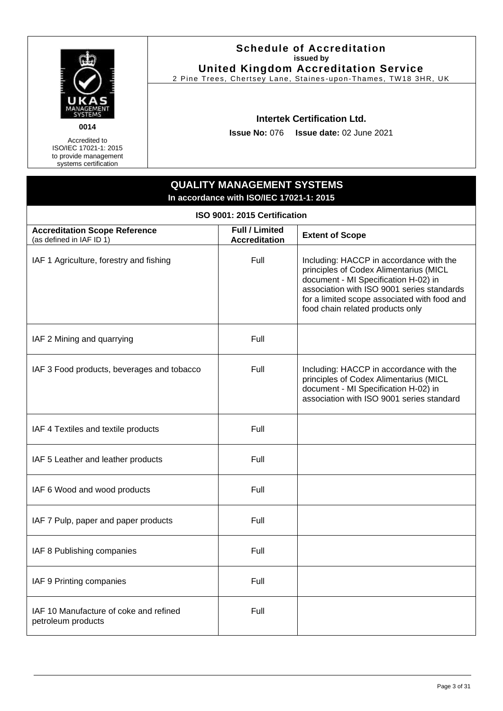

#### **Schedule of Accreditation issued by United Kingdom Accreditation Service**

2 Pine Trees, Chertsey Lane, Staines -upon-Thames, TW18 3HR, UK

#### **Intertek Certification Ltd.**

**Issue No:** 076 **Issue date:** 02 June 2021

<span id="page-2-0"></span>

| ISO 9001: 2015 Certification                                     |                                               |                                                                                                                                                                                                                                                             |  |
|------------------------------------------------------------------|-----------------------------------------------|-------------------------------------------------------------------------------------------------------------------------------------------------------------------------------------------------------------------------------------------------------------|--|
| <b>Accreditation Scope Reference</b><br>(as defined in IAF ID 1) | <b>Full / Limited</b><br><b>Accreditation</b> | <b>Extent of Scope</b>                                                                                                                                                                                                                                      |  |
| IAF 1 Agriculture, forestry and fishing                          | Full                                          | Including: HACCP in accordance with the<br>principles of Codex Alimentarius (MICL<br>document - MI Specification H-02) in<br>association with ISO 9001 series standards<br>for a limited scope associated with food and<br>food chain related products only |  |
| IAF 2 Mining and quarrying                                       | Full                                          |                                                                                                                                                                                                                                                             |  |
| IAF 3 Food products, beverages and tobacco                       | Full                                          | Including: HACCP in accordance with the<br>principles of Codex Alimentarius (MICL<br>document - MI Specification H-02) in<br>association with ISO 9001 series standard                                                                                      |  |
| IAF 4 Textiles and textile products                              | Full                                          |                                                                                                                                                                                                                                                             |  |
| IAF 5 Leather and leather products                               | Full                                          |                                                                                                                                                                                                                                                             |  |
| IAF 6 Wood and wood products                                     | Full                                          |                                                                                                                                                                                                                                                             |  |
| IAF 7 Pulp, paper and paper products                             | Full                                          |                                                                                                                                                                                                                                                             |  |
| IAF 8 Publishing companies                                       | Full                                          |                                                                                                                                                                                                                                                             |  |
| IAF 9 Printing companies                                         | Full                                          |                                                                                                                                                                                                                                                             |  |
| IAF 10 Manufacture of coke and refined<br>petroleum products     | Full                                          |                                                                                                                                                                                                                                                             |  |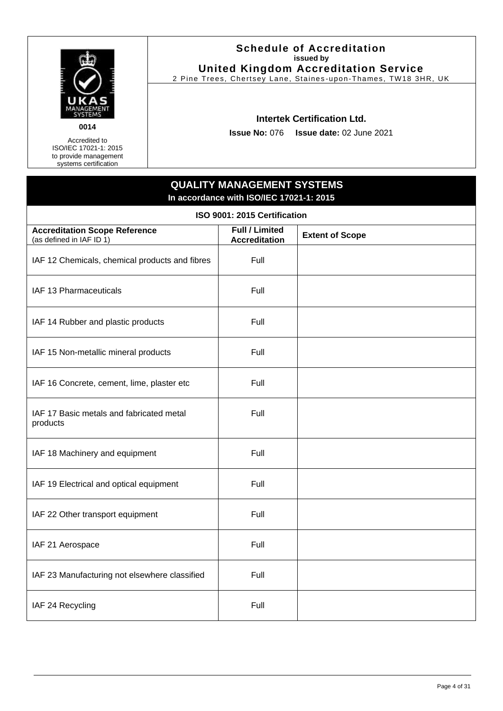

#### **Schedule of Accreditation issued by United Kingdom Accreditation Service**

2 Pine Trees, Chertsey Lane, Staines -upon-Thames, TW18 3HR, UK

#### **Intertek Certification Ltd.**

**Issue No:** 076 **Issue date:** 02 June 2021

| ISO 9001: 2015 Certification                                     |                                               |                        |  |
|------------------------------------------------------------------|-----------------------------------------------|------------------------|--|
| <b>Accreditation Scope Reference</b><br>(as defined in IAF ID 1) | <b>Full / Limited</b><br><b>Accreditation</b> | <b>Extent of Scope</b> |  |
| IAF 12 Chemicals, chemical products and fibres                   | Full                                          |                        |  |
| IAF 13 Pharmaceuticals                                           | Full                                          |                        |  |
| IAF 14 Rubber and plastic products                               | Full                                          |                        |  |
| IAF 15 Non-metallic mineral products                             | Full                                          |                        |  |
| IAF 16 Concrete, cement, lime, plaster etc                       | Full                                          |                        |  |
| IAF 17 Basic metals and fabricated metal<br>products             | Full                                          |                        |  |
| IAF 18 Machinery and equipment                                   | Full                                          |                        |  |
| IAF 19 Electrical and optical equipment                          | Full                                          |                        |  |
| IAF 22 Other transport equipment                                 | Full                                          |                        |  |
| IAF 21 Aerospace                                                 | Full                                          |                        |  |
| IAF 23 Manufacturing not elsewhere classified                    | Full                                          |                        |  |
| IAF 24 Recycling                                                 | Full                                          |                        |  |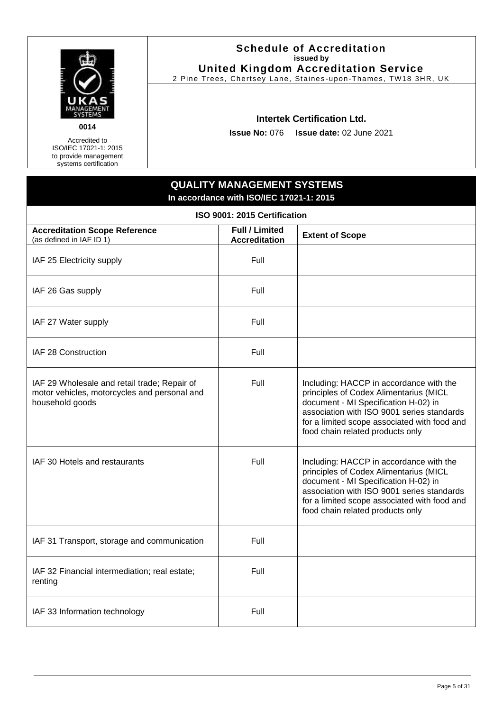

#### **Schedule of Accreditation issued by United Kingdom Accreditation Service**

2 Pine Trees, Chertsey Lane, Staines -upon-Thames, TW18 3HR, UK

#### **Intertek Certification Ltd.**

**Issue No:** 076 **Issue date:** 02 June 2021

| ISO 9001: 2015 Certification                                                                                    |                                               |                                                                                                                                                                                                                                                             |  |
|-----------------------------------------------------------------------------------------------------------------|-----------------------------------------------|-------------------------------------------------------------------------------------------------------------------------------------------------------------------------------------------------------------------------------------------------------------|--|
| <b>Accreditation Scope Reference</b><br>(as defined in IAF ID 1)                                                | <b>Full / Limited</b><br><b>Accreditation</b> | <b>Extent of Scope</b>                                                                                                                                                                                                                                      |  |
| IAF 25 Electricity supply                                                                                       | Full                                          |                                                                                                                                                                                                                                                             |  |
| IAF 26 Gas supply                                                                                               | Full                                          |                                                                                                                                                                                                                                                             |  |
| IAF 27 Water supply                                                                                             | Full                                          |                                                                                                                                                                                                                                                             |  |
| IAF 28 Construction                                                                                             | Full                                          |                                                                                                                                                                                                                                                             |  |
| IAF 29 Wholesale and retail trade; Repair of<br>motor vehicles, motorcycles and personal and<br>household goods | Full                                          | Including: HACCP in accordance with the<br>principles of Codex Alimentarius (MICL<br>document - MI Specification H-02) in<br>association with ISO 9001 series standards<br>for a limited scope associated with food and<br>food chain related products only |  |
| IAF 30 Hotels and restaurants                                                                                   | Full                                          | Including: HACCP in accordance with the<br>principles of Codex Alimentarius (MICL<br>document - MI Specification H-02) in<br>association with ISO 9001 series standards<br>for a limited scope associated with food and<br>food chain related products only |  |
| IAF 31 Transport, storage and communication                                                                     | Full                                          |                                                                                                                                                                                                                                                             |  |
| IAF 32 Financial intermediation; real estate;<br>renting                                                        | Full                                          |                                                                                                                                                                                                                                                             |  |
| IAF 33 Information technology                                                                                   | Full                                          |                                                                                                                                                                                                                                                             |  |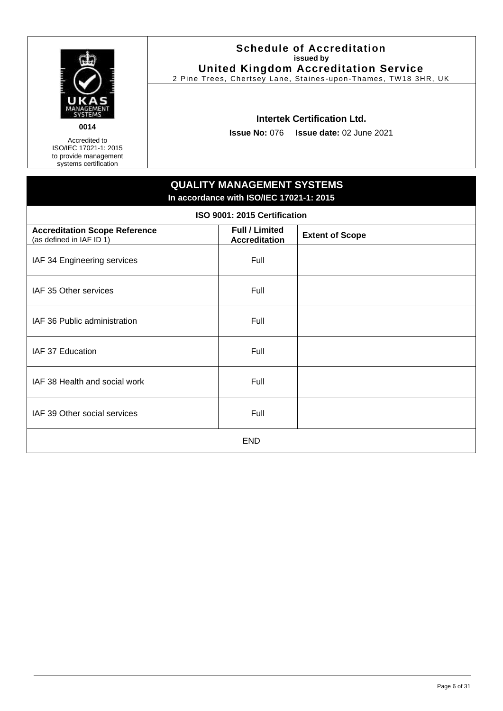

#### **Schedule of Accreditation issued by United Kingdom Accreditation Service**

2 Pine Trees, Chertsey Lane, Staines -upon-Thames, TW18 3HR, UK

#### **Intertek Certification Ltd.**

**Issue No:** 076 **Issue date:** 02 June 2021

| ISO 9001: 2015 Certification                                     |                                               |                        |  |
|------------------------------------------------------------------|-----------------------------------------------|------------------------|--|
| <b>Accreditation Scope Reference</b><br>(as defined in IAF ID 1) | <b>Full / Limited</b><br><b>Accreditation</b> | <b>Extent of Scope</b> |  |
| IAF 34 Engineering services                                      | Full                                          |                        |  |
| IAF 35 Other services                                            | Full                                          |                        |  |
| IAF 36 Public administration                                     | Full                                          |                        |  |
| IAF 37 Education                                                 | Full                                          |                        |  |
| IAF 38 Health and social work                                    | Full                                          |                        |  |
| IAF 39 Other social services                                     | Full                                          |                        |  |
| <b>END</b>                                                       |                                               |                        |  |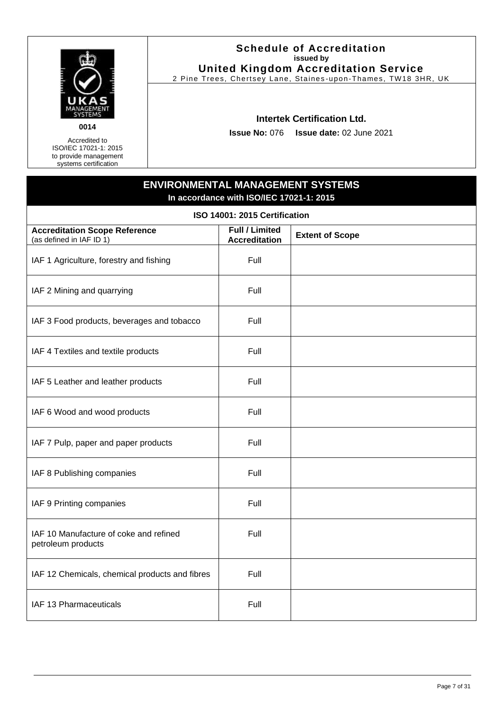

#### **Schedule of Accreditation issued by United Kingdom Accreditation Service**

2 Pine Trees, Chertsey Lane, Staines -upon-Thames, TW18 3HR, UK

#### **Intertek Certification Ltd.**

**Issue No:** 076 **Issue date:** 02 June 2021

## **ENVIRONMENTAL MANAGEMENT SYSTEMS In accordance with ISO/IEC 17021-1: 2015**

<span id="page-6-0"></span>

| ISO 14001: 2015 Certification                                    |                                               |                        |  |
|------------------------------------------------------------------|-----------------------------------------------|------------------------|--|
| <b>Accreditation Scope Reference</b><br>(as defined in IAF ID 1) | <b>Full / Limited</b><br><b>Accreditation</b> | <b>Extent of Scope</b> |  |
| IAF 1 Agriculture, forestry and fishing                          | Full                                          |                        |  |
| IAF 2 Mining and quarrying                                       | Full                                          |                        |  |
| IAF 3 Food products, beverages and tobacco                       | Full                                          |                        |  |
| IAF 4 Textiles and textile products                              | Full                                          |                        |  |
| IAF 5 Leather and leather products                               | Full                                          |                        |  |
| IAF 6 Wood and wood products                                     | Full                                          |                        |  |
| IAF 7 Pulp, paper and paper products                             | Full                                          |                        |  |
| IAF 8 Publishing companies                                       | Full                                          |                        |  |
| IAF 9 Printing companies                                         | Full                                          |                        |  |
| IAF 10 Manufacture of coke and refined<br>petroleum products     | Full                                          |                        |  |
| IAF 12 Chemicals, chemical products and fibres                   | Full                                          |                        |  |
| IAF 13 Pharmaceuticals                                           | Full                                          |                        |  |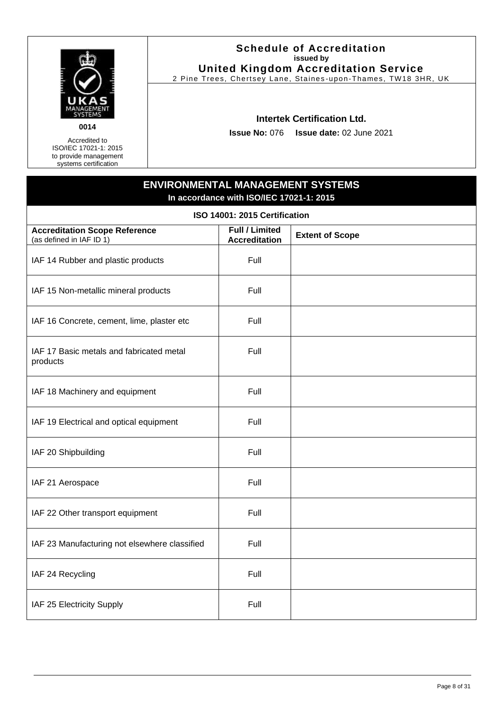

#### **Schedule of Accreditation issued by United Kingdom Accreditation Service**

2 Pine Trees, Chertsey Lane, Staines -upon-Thames, TW18 3HR, UK

#### **Intertek Certification Ltd.**

**Issue No:** 076 **Issue date:** 02 June 2021

## **ENVIRONMENTAL MANAGEMENT SYSTEMS In accordance with ISO/IEC 17021-1: 2015**

| ISO 14001: 2015 Certification                                    |                                               |                        |  |
|------------------------------------------------------------------|-----------------------------------------------|------------------------|--|
| <b>Accreditation Scope Reference</b><br>(as defined in IAF ID 1) | <b>Full / Limited</b><br><b>Accreditation</b> | <b>Extent of Scope</b> |  |
| IAF 14 Rubber and plastic products                               | Full                                          |                        |  |
| IAF 15 Non-metallic mineral products                             | Full                                          |                        |  |
| IAF 16 Concrete, cement, lime, plaster etc                       | Full                                          |                        |  |
| IAF 17 Basic metals and fabricated metal<br>products             | Full                                          |                        |  |
| IAF 18 Machinery and equipment                                   | Full                                          |                        |  |
| IAF 19 Electrical and optical equipment                          | Full                                          |                        |  |
| IAF 20 Shipbuilding                                              | Full                                          |                        |  |
| IAF 21 Aerospace                                                 | Full                                          |                        |  |
| IAF 22 Other transport equipment                                 | Full                                          |                        |  |
| IAF 23 Manufacturing not elsewhere classified                    | Full                                          |                        |  |
| IAF 24 Recycling                                                 | Full                                          |                        |  |
| IAF 25 Electricity Supply                                        | Full                                          |                        |  |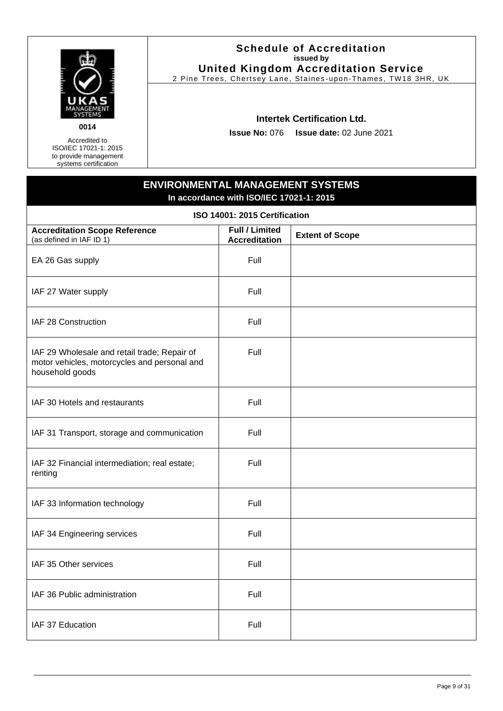

#### **Schedule of Accreditation issued by United Kingdom Accreditation Service**

2 Pine Trees, Chertsey Lane, Staines -upon-Thames, TW18 3HR, UK

#### **Intertek Certification Ltd.**

**Issue No:** 076 **Issue date:** 02 June 2021

## **ENVIRONMENTAL MANAGEMENT SYSTEMS In accordance with ISO/IEC 17021-1: 2015**

| ISO 14001: 2015 Certification                                                                                   |                                               |                        |  |
|-----------------------------------------------------------------------------------------------------------------|-----------------------------------------------|------------------------|--|
| <b>Accreditation Scope Reference</b><br>(as defined in IAF ID 1)                                                | <b>Full / Limited</b><br><b>Accreditation</b> | <b>Extent of Scope</b> |  |
| EA 26 Gas supply                                                                                                | Full                                          |                        |  |
| IAF 27 Water supply                                                                                             | Full                                          |                        |  |
| IAF 28 Construction                                                                                             | Full                                          |                        |  |
| IAF 29 Wholesale and retail trade; Repair of<br>motor vehicles, motorcycles and personal and<br>household goods | Full                                          |                        |  |
| IAF 30 Hotels and restaurants                                                                                   | Full                                          |                        |  |
| IAF 31 Transport, storage and communication                                                                     | Full                                          |                        |  |
| IAF 32 Financial intermediation; real estate;<br>renting                                                        | Full                                          |                        |  |
| IAF 33 Information technology                                                                                   | Full                                          |                        |  |
| IAF 34 Engineering services                                                                                     | Full                                          |                        |  |
| IAF 35 Other services                                                                                           | Full                                          |                        |  |
| IAF 36 Public administration                                                                                    | Full                                          |                        |  |
| IAF 37 Education                                                                                                | Full                                          |                        |  |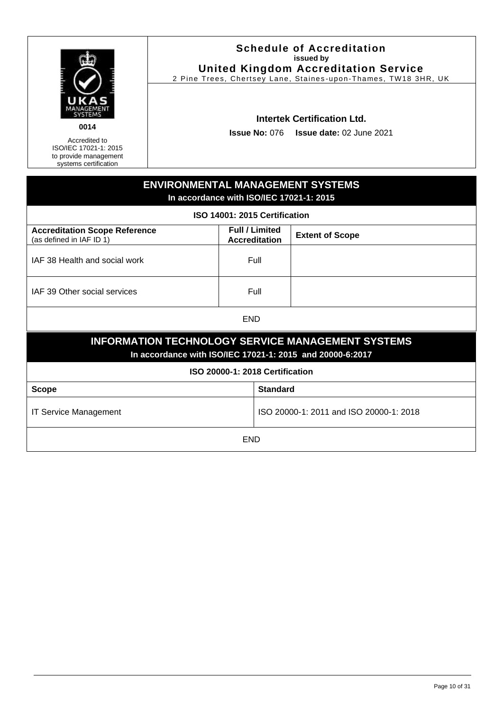

#### **Schedule of Accreditation issued by United Kingdom Accreditation Service**

2 Pine Trees, Chertsey Lane, Staines -upon-Thames, TW18 3HR, UK

#### **Intertek Certification Ltd.**

**Issue No:** 076 **Issue date:** 02 June 2021

<span id="page-9-0"></span>

| <b>ENVIRONMENTAL MANAGEMENT SYSTEMS</b><br>In accordance with ISO/IEC 17021-1: 2015                                   |                                               |                        |
|-----------------------------------------------------------------------------------------------------------------------|-----------------------------------------------|------------------------|
| ISO 14001: 2015 Certification                                                                                         |                                               |                        |
| <b>Accreditation Scope Reference</b><br>(as defined in IAF ID 1)                                                      | <b>Full / Limited</b><br><b>Accreditation</b> | <b>Extent of Scope</b> |
| IAF 38 Health and social work                                                                                         | Full                                          |                        |
| IAF 39 Other social services                                                                                          | Full                                          |                        |
| <b>END</b>                                                                                                            |                                               |                        |
| <b>INFORMATION TECHNOLOGY SERVICE MANAGEMENT SYSTEMS</b><br>In accordance with ISO/IEC 17021-1: 2015 and 20000-6:2017 |                                               |                        |
|                                                                                                                       | ISO 20000-1: 2018 Certification               |                        |
| <b>Scope</b>                                                                                                          | <b>Standard</b>                               |                        |
| ISO 20000-1: 2011 and ISO 20000-1: 2018<br><b>IT Service Management</b>                                               |                                               |                        |
| <b>END</b>                                                                                                            |                                               |                        |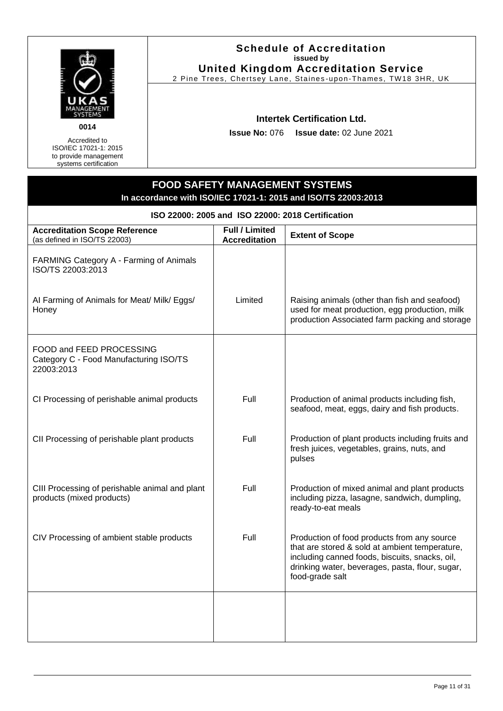

Accredited to ISO/IEC 17021-1: 2015 to provide management systems certification

#### **Schedule of Accreditation issued by United Kingdom Accreditation Service**

2 Pine Trees, Chertsey Lane, Staines -upon-Thames, TW18 3HR, UK

#### **Intertek Certification Ltd.**

**Issue No:** 076 **Issue date:** 02 June 2021

<span id="page-10-0"></span>

| ISO 22000: 2005 and ISO 22000: 2018 Certification                                |                                               |                                                                                                                                                                                                                       |  |  |
|----------------------------------------------------------------------------------|-----------------------------------------------|-----------------------------------------------------------------------------------------------------------------------------------------------------------------------------------------------------------------------|--|--|
| <b>Accreditation Scope Reference</b><br>(as defined in ISO/TS 22003)             | <b>Full / Limited</b><br><b>Accreditation</b> | <b>Extent of Scope</b>                                                                                                                                                                                                |  |  |
| FARMING Category A - Farming of Animals<br>ISO/TS 22003:2013                     |                                               |                                                                                                                                                                                                                       |  |  |
| Al Farming of Animals for Meat/ Milk/ Eggs/<br>Honey                             | Limited                                       | Raising animals (other than fish and seafood)<br>used for meat production, egg production, milk<br>production Associated farm packing and storage                                                                     |  |  |
| FOOD and FEED PROCESSING<br>Category C - Food Manufacturing ISO/TS<br>22003:2013 |                                               |                                                                                                                                                                                                                       |  |  |
| CI Processing of perishable animal products                                      | Full                                          | Production of animal products including fish,<br>seafood, meat, eggs, dairy and fish products.                                                                                                                        |  |  |
| CII Processing of perishable plant products                                      | Full                                          | Production of plant products including fruits and<br>fresh juices, vegetables, grains, nuts, and<br>pulses                                                                                                            |  |  |
| CIII Processing of perishable animal and plant<br>products (mixed products)      | Full                                          | Production of mixed animal and plant products<br>including pizza, lasagne, sandwich, dumpling,<br>ready-to-eat meals                                                                                                  |  |  |
| CIV Processing of ambient stable products                                        | Full                                          | Production of food products from any source<br>that are stored & sold at ambient temperature,<br>including canned foods, biscuits, snacks, oil,<br>drinking water, beverages, pasta, flour, sugar,<br>food-grade salt |  |  |
|                                                                                  |                                               |                                                                                                                                                                                                                       |  |  |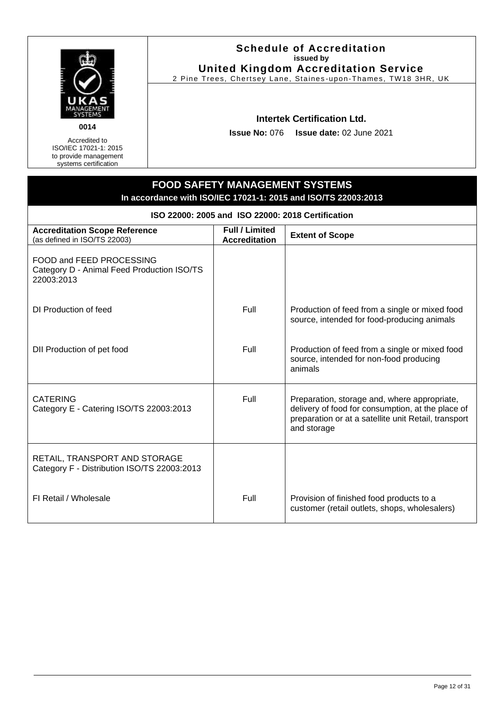

Accredited to ISO/IEC 17021-1: 2015 to provide management systems certification

#### **Schedule of Accreditation issued by United Kingdom Accreditation Service**

2 Pine Trees, Chertsey Lane, Staines -upon-Thames, TW18 3HR, UK

#### **Intertek Certification Ltd.**

**Issue No:** 076 **Issue date:** 02 June 2021

| ISO 22000: 2005 and ISO 22000: 2018 Certification                                    |                                               |                                                                                                                                                                          |  |
|--------------------------------------------------------------------------------------|-----------------------------------------------|--------------------------------------------------------------------------------------------------------------------------------------------------------------------------|--|
| <b>Accreditation Scope Reference</b><br>(as defined in ISO/TS 22003)                 | <b>Full / Limited</b><br><b>Accreditation</b> | <b>Extent of Scope</b>                                                                                                                                                   |  |
| FOOD and FEED PROCESSING<br>Category D - Animal Feed Production ISO/TS<br>22003:2013 |                                               |                                                                                                                                                                          |  |
| DI Production of feed                                                                | Full                                          | Production of feed from a single or mixed food<br>source, intended for food-producing animals                                                                            |  |
| DII Production of pet food                                                           | Full                                          | Production of feed from a single or mixed food<br>source, intended for non-food producing<br>animals                                                                     |  |
| <b>CATERING</b><br>Category E - Catering ISO/TS 22003:2013                           | Full                                          | Preparation, storage and, where appropriate,<br>delivery of food for consumption, at the place of<br>preparation or at a satellite unit Retail, transport<br>and storage |  |
| RETAIL, TRANSPORT AND STORAGE<br>Category F - Distribution ISO/TS 22003:2013         |                                               |                                                                                                                                                                          |  |
| FI Retail / Wholesale                                                                | Full                                          | Provision of finished food products to a<br>customer (retail outlets, shops, wholesalers)                                                                                |  |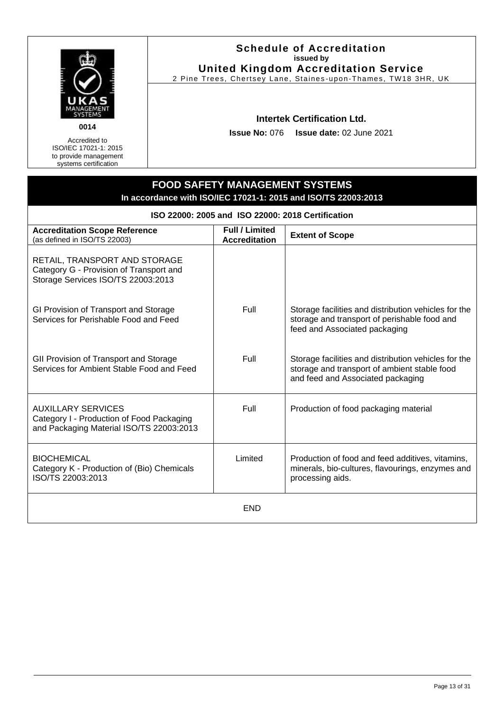

Accredited to ISO/IEC 17021-1: 2015 to provide management systems certification

#### **Schedule of Accreditation issued by United Kingdom Accreditation Service**

2 Pine Trees, Chertsey Lane, Staines -upon-Thames, TW18 3HR, UK

#### **Intertek Certification Ltd.**

**Issue No:** 076 **Issue date:** 02 June 2021

| ISO 22000: 2005 and ISO 22000: 2018 Certification                                                                  |                                               |                                                                                                                                           |  |
|--------------------------------------------------------------------------------------------------------------------|-----------------------------------------------|-------------------------------------------------------------------------------------------------------------------------------------------|--|
| <b>Accreditation Scope Reference</b><br>(as defined in ISO/TS 22003)                                               | <b>Full / Limited</b><br><b>Accreditation</b> | <b>Extent of Scope</b>                                                                                                                    |  |
| RETAIL, TRANSPORT AND STORAGE<br>Category G - Provision of Transport and<br>Storage Services ISO/TS 22003:2013     |                                               |                                                                                                                                           |  |
| GI Provision of Transport and Storage<br>Services for Perishable Food and Feed                                     | Full                                          | Storage facilities and distribution vehicles for the<br>storage and transport of perishable food and<br>feed and Associated packaging     |  |
| GII Provision of Transport and Storage<br>Services for Ambient Stable Food and Feed                                | Full                                          | Storage facilities and distribution vehicles for the<br>storage and transport of ambient stable food<br>and feed and Associated packaging |  |
| <b>AUXILLARY SERVICES</b><br>Category I - Production of Food Packaging<br>and Packaging Material ISO/TS 22003:2013 | Full                                          | Production of food packaging material                                                                                                     |  |
| <b>BIOCHEMICAL</b><br>Category K - Production of (Bio) Chemicals<br>ISO/TS 22003:2013                              | Limited                                       | Production of food and feed additives, vitamins,<br>minerals, bio-cultures, flavourings, enzymes and<br>processing aids.                  |  |
| <b>END</b>                                                                                                         |                                               |                                                                                                                                           |  |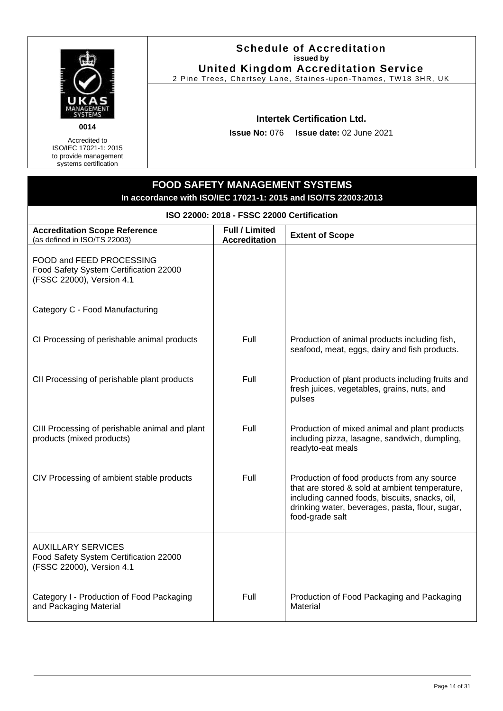

Accredited to ISO/IEC 17021-1: 2015 to provide management systems certification

#### **Schedule of Accreditation issued by United Kingdom Accreditation Service**

2 Pine Trees, Chertsey Lane, Staines -upon-Thames, TW18 3HR, UK

#### **Intertek Certification Ltd.**

**Issue No:** 076 **Issue date:** 02 June 2021

| In accordance with ISO/IEC 17021-1: 2015 and ISO/TS 22003:2013                                   |                                               |                                                                                                                                                                                                                       |  |
|--------------------------------------------------------------------------------------------------|-----------------------------------------------|-----------------------------------------------------------------------------------------------------------------------------------------------------------------------------------------------------------------------|--|
| ISO 22000: 2018 - FSSC 22000 Certification                                                       |                                               |                                                                                                                                                                                                                       |  |
| <b>Accreditation Scope Reference</b><br>(as defined in ISO/TS 22003)                             | <b>Full / Limited</b><br><b>Accreditation</b> | <b>Extent of Scope</b>                                                                                                                                                                                                |  |
| FOOD and FEED PROCESSING<br>Food Safety System Certification 22000<br>(FSSC 22000), Version 4.1  |                                               |                                                                                                                                                                                                                       |  |
| Category C - Food Manufacturing                                                                  |                                               |                                                                                                                                                                                                                       |  |
| CI Processing of perishable animal products                                                      | Full                                          | Production of animal products including fish,<br>seafood, meat, eggs, dairy and fish products.                                                                                                                        |  |
| CII Processing of perishable plant products                                                      | Full                                          | Production of plant products including fruits and<br>fresh juices, vegetables, grains, nuts, and<br>pulses                                                                                                            |  |
| CIII Processing of perishable animal and plant<br>products (mixed products)                      | Full                                          | Production of mixed animal and plant products<br>including pizza, lasagne, sandwich, dumpling,<br>readyto-eat meals                                                                                                   |  |
| CIV Processing of ambient stable products                                                        | Full                                          | Production of food products from any source<br>that are stored & sold at ambient temperature,<br>including canned foods, biscuits, snacks, oil,<br>drinking water, beverages, pasta, flour, sugar,<br>food-grade salt |  |
| <b>AUXILLARY SERVICES</b><br>Food Safety System Certification 22000<br>(FSSC 22000), Version 4.1 |                                               |                                                                                                                                                                                                                       |  |
| Category I - Production of Food Packaging<br>and Packaging Material                              | Full                                          | Production of Food Packaging and Packaging<br>Material                                                                                                                                                                |  |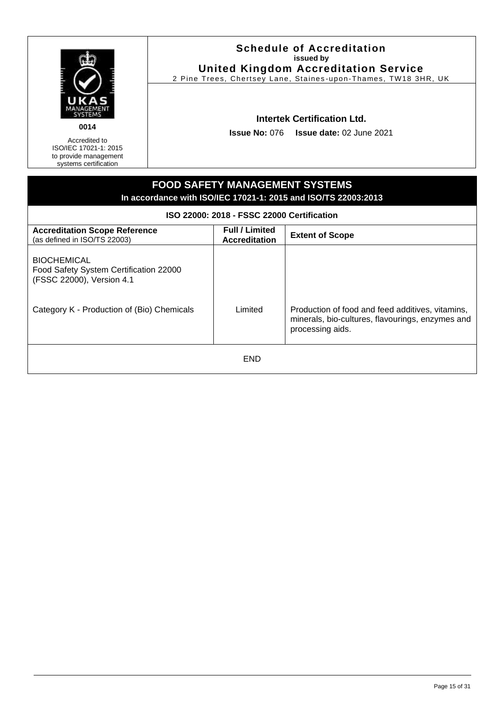

Accredited to ISO/IEC 17021-1: 2015 to provide management systems certification

#### **Schedule of Accreditation issued by United Kingdom Accreditation Service**

2 Pine Trees, Chertsey Lane, Staines -upon-Thames, TW18 3HR, UK

## **Intertek Certification Ltd.**

**Issue No:** 076 **Issue date:** 02 June 2021

| <b>FOOD SAFETY MANAGEMENT SYSTEMS</b><br>In accordance with ISO/IEC 17021-1: 2015 and ISO/TS 22003:2013                                 |                                               |                                                                                                                          |
|-----------------------------------------------------------------------------------------------------------------------------------------|-----------------------------------------------|--------------------------------------------------------------------------------------------------------------------------|
|                                                                                                                                         | ISO 22000: 2018 - FSSC 22000 Certification    |                                                                                                                          |
| <b>Accreditation Scope Reference</b><br>(as defined in ISO/TS 22003)                                                                    | <b>Full / Limited</b><br><b>Accreditation</b> | <b>Extent of Scope</b>                                                                                                   |
| <b>BIOCHEMICAL</b><br>Food Safety System Certification 22000<br>(FSSC 22000), Version 4.1<br>Category K - Production of (Bio) Chemicals | Limited                                       | Production of food and feed additives, vitamins,<br>minerals, bio-cultures, flavourings, enzymes and<br>processing aids. |
| <b>END</b>                                                                                                                              |                                               |                                                                                                                          |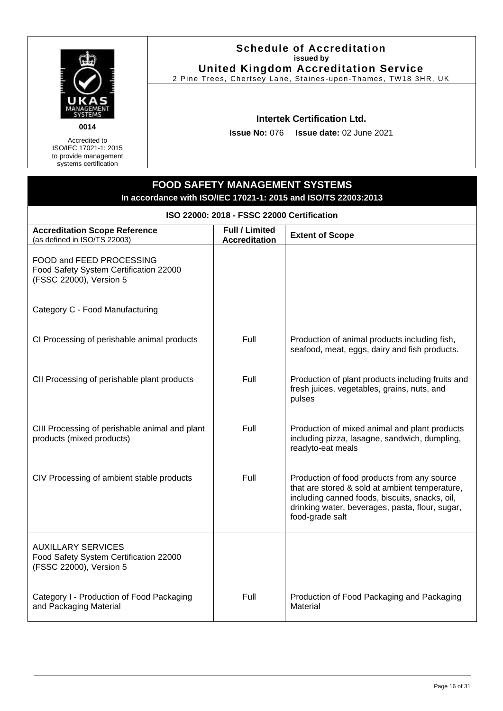

Accredited to ISO/IEC 17021-1: 2015 to provide management systems certification

#### **Schedule of Accreditation issued by United Kingdom Accreditation Service**

2 Pine Trees, Chertsey Lane, Staines -upon-Thames, TW18 3HR, UK

#### **Intertek Certification Ltd.**

**Issue No:** 076 **Issue date:** 02 June 2021

| In accordance with ISO/IEC 17021-1. 2015 and ISO/IS 22003:2013                                 |                                               |                                                                                                                                                                                                                       |  |
|------------------------------------------------------------------------------------------------|-----------------------------------------------|-----------------------------------------------------------------------------------------------------------------------------------------------------------------------------------------------------------------------|--|
| ISO 22000: 2018 - FSSC 22000 Certification                                                     |                                               |                                                                                                                                                                                                                       |  |
| <b>Accreditation Scope Reference</b><br>(as defined in ISO/TS 22003)                           | <b>Full / Limited</b><br><b>Accreditation</b> | <b>Extent of Scope</b>                                                                                                                                                                                                |  |
| FOOD and FEED PROCESSING<br>Food Safety System Certification 22000<br>(FSSC 22000), Version 5  |                                               |                                                                                                                                                                                                                       |  |
| Category C - Food Manufacturing                                                                |                                               |                                                                                                                                                                                                                       |  |
| CI Processing of perishable animal products                                                    | Full                                          | Production of animal products including fish,<br>seafood, meat, eggs, dairy and fish products.                                                                                                                        |  |
| CII Processing of perishable plant products                                                    | Full                                          | Production of plant products including fruits and<br>fresh juices, vegetables, grains, nuts, and<br>pulses                                                                                                            |  |
| CIII Processing of perishable animal and plant<br>products (mixed products)                    | Full                                          | Production of mixed animal and plant products<br>including pizza, lasagne, sandwich, dumpling,<br>readyto-eat meals                                                                                                   |  |
| CIV Processing of ambient stable products                                                      | Full                                          | Production of food products from any source<br>that are stored & sold at ambient temperature,<br>including canned foods, biscuits, snacks, oil,<br>drinking water, beverages, pasta, flour, sugar,<br>food-grade salt |  |
| <b>AUXILLARY SERVICES</b><br>Food Safety System Certification 22000<br>(FSSC 22000), Version 5 |                                               |                                                                                                                                                                                                                       |  |
| Category I - Production of Food Packaging<br>and Packaging Material                            | Full                                          | Production of Food Packaging and Packaging<br>Material                                                                                                                                                                |  |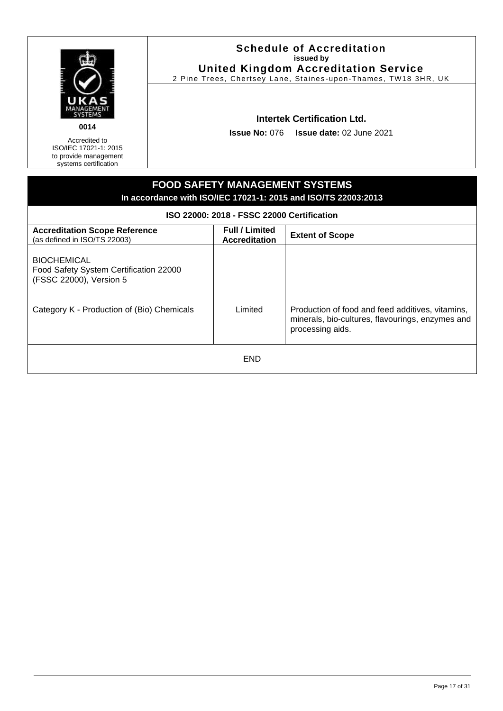

Accredited to ISO/IEC 17021-1: 2015 to provide management systems certification

#### **Schedule of Accreditation issued by United Kingdom Accreditation Service**

2 Pine Trees, Chertsey Lane, Staines -upon-Thames, TW18 3HR, UK

#### **Intertek Certification Ltd.**

**Issue No:** 076 **Issue date:** 02 June 2021

## **FOOD SAFETY MANAGEMENT SYSTEMS In accordance with ISO/IEC 17021-1: 2015 and ISO/TS 22003:2013 ISO 22000: 2018 - FSSC 22000 Certification Accreditation Scope Reference** (as defined in ISO/TS 22003) **Full / Limited Accreditation Extent of Scope BIOCHEMICAL** Food Safety System Certification 22000 (FSSC 22000), Version 5 Category K - Production of (Bio) Chemicals | Limited | Production of food and feed additives, vitamins, minerals, bio-cultures, flavourings, enzymes and processing aids. END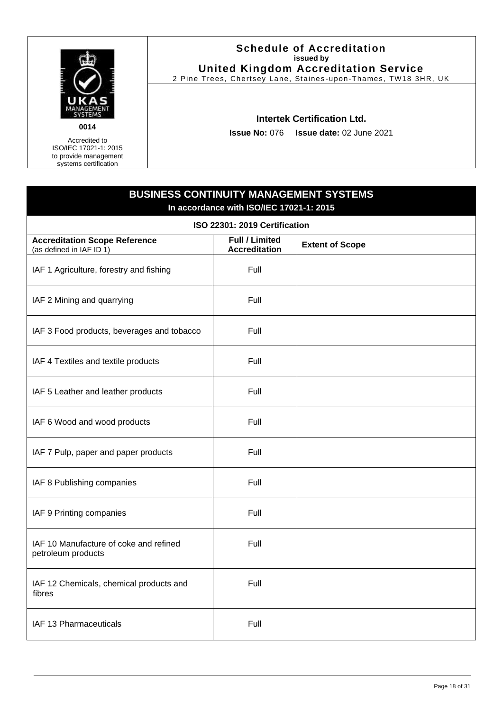

#### **Schedule of Accreditation issued by United Kingdom Accreditation Service**

2 Pine Trees, Chertsey Lane, Staines -upon-Thames, TW18 3HR, UK

#### **Intertek Certification Ltd.**

**Issue No:** 076 **Issue date:** 02 June 2021

<span id="page-17-0"></span>

| <b>BUSINESS CONTINUITY MANAGEMENT SYSTEMS</b><br>In accordance with ISO/IEC 17021-1: 2015 |                                               |                        |
|-------------------------------------------------------------------------------------------|-----------------------------------------------|------------------------|
| ISO 22301: 2019 Certification                                                             |                                               |                        |
| <b>Accreditation Scope Reference</b><br>(as defined in IAF ID 1)                          | <b>Full / Limited</b><br><b>Accreditation</b> | <b>Extent of Scope</b> |
| IAF 1 Agriculture, forestry and fishing                                                   | Full                                          |                        |
| IAF 2 Mining and quarrying                                                                | Full                                          |                        |
| IAF 3 Food products, beverages and tobacco                                                | Full                                          |                        |
| IAF 4 Textiles and textile products                                                       | Full                                          |                        |
| IAF 5 Leather and leather products                                                        | Full                                          |                        |
| IAF 6 Wood and wood products                                                              | Full                                          |                        |
| IAF 7 Pulp, paper and paper products                                                      | Full                                          |                        |
| IAF 8 Publishing companies                                                                | Full                                          |                        |
| IAF 9 Printing companies                                                                  | Full                                          |                        |
| IAF 10 Manufacture of coke and refined<br>petroleum products                              | Full                                          |                        |
| IAF 12 Chemicals, chemical products and<br>fibres                                         | Full                                          |                        |
| IAF 13 Pharmaceuticals                                                                    | Full                                          |                        |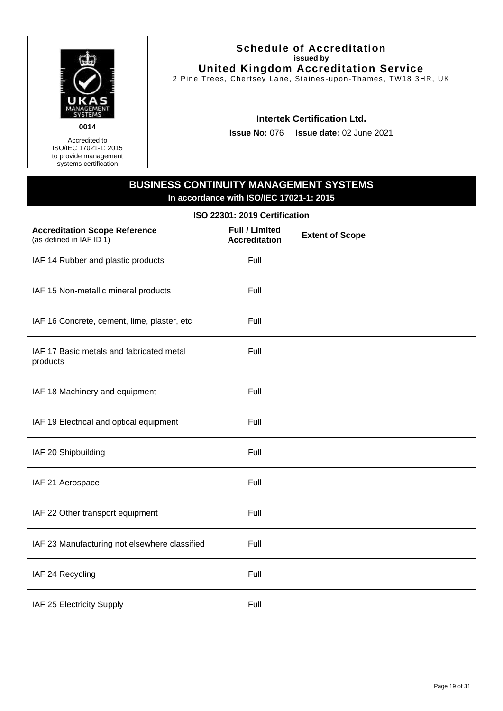

#### **Schedule of Accreditation issued by United Kingdom Accreditation Service**

2 Pine Trees, Chertsey Lane, Staines -upon-Thames, TW18 3HR, UK

#### **Intertek Certification Ltd.**

**Issue No:** 076 **Issue date:** 02 June 2021

# **BUSINESS CONTINUITY MANAGEMENT SYSTEMS In accordance with ISO/IEC 17021-1: 2015 ISO 22301: 2019 Certification Accreditation Scope Reference** (as defined in IAF ID 1) **Full / Limited Accreditation Extent of Scope** IAF 14 Rubber and plastic products Table 14 Rubber and plastic products IAF 15 Non-metallic mineral products | Full IAF 16 Concrete, cement, lime, plaster, etc Full IAF 17 Basic metals and fabricated metal products Full IAF 18 Machinery and equipment Full IAF 19 Electrical and optical equipment Full IAF 20 Shipbuilding Full and Full and Full and Full and Full and Full and Full and Full and Full and Full and Full and Full and Full and Full and Full and Full and Full and Full and Full and Full and Full and Full and Full IAF 21 Aerospace Full IAF 22 Other transport equipment Full IAF 23 Manufacturing not elsewhere classified  $\vert$  Full IAF 24 Recycling Full and Full and Full and Full and Full and Full and Full and Full and Full and Full and Full IAF 25 Electricity Supply Full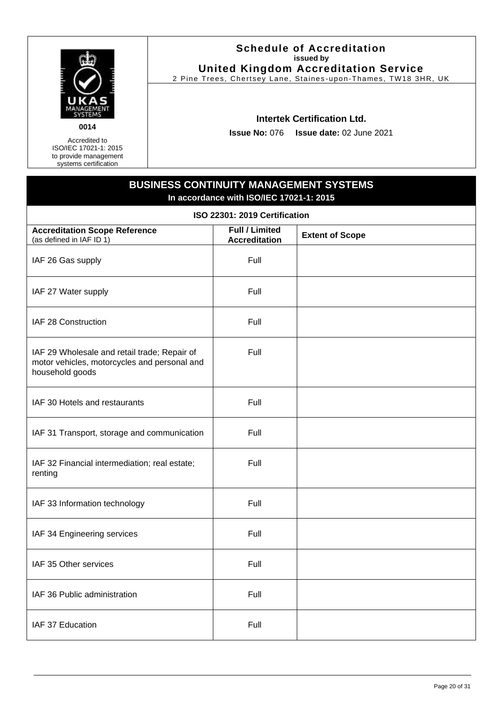

#### **Schedule of Accreditation issued by United Kingdom Accreditation Service**

2 Pine Trees, Chertsey Lane, Staines -upon-Thames, TW18 3HR, UK

#### **Intertek Certification Ltd.**

**Issue No:** 076 **Issue date:** 02 June 2021

## **BUSINESS CONTINUITY MANAGEMENT SYSTEMS In accordance with ISO/IEC 17021-1: 2015 ISO 22301: 2019 Certification Accreditation Scope Reference** (as defined in IAF ID 1) **Full / Limited Accreditation Extent of Scope** IAF 26 Gas supply Full IAF 27 Water supply Full IAF 28 Construction **Full** IAF 29 Wholesale and retail trade; Repair of motor vehicles, motorcycles and personal and household goods Full IAF 30 Hotels and restaurants The Rull of Tell IAF 31 Transport, storage and communication  $\vert$  Full IAF 32 Financial intermediation; real estate; renting Full IAF 33 Information technology Full IAF 34 Engineering services **Full** Full IAF 35 Other services Full Research Control of the Full Research Full Full IAF 36 Public administration The Real Property of Tell IAF 37 Education **Full** Full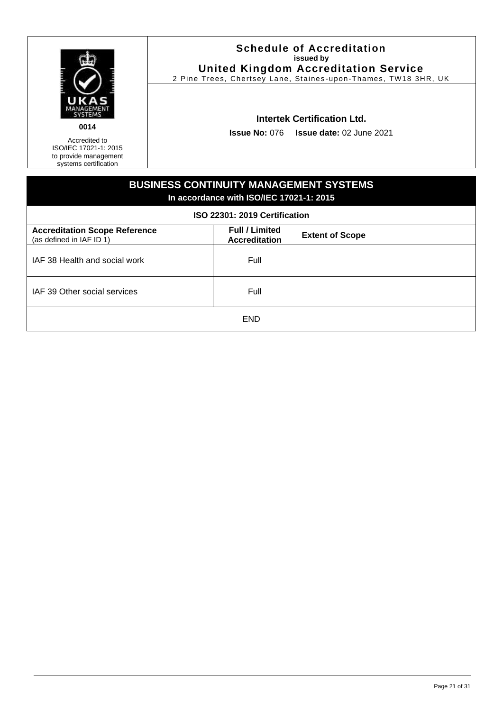

#### **Schedule of Accreditation issued by United Kingdom Accreditation Service**

2 Pine Trees, Chertsey Lane, Staines -upon-Thames, TW18 3HR, UK

#### **Intertek Certification Ltd.**

**Issue No:** 076 **Issue date:** 02 June 2021

| <b>BUSINESS CONTINUITY MANAGEMENT SYSTEMS</b><br>In accordance with ISO/IEC 17021-1: 2015<br>ISO 22301: 2019 Certification                  |      |  |  |
|---------------------------------------------------------------------------------------------------------------------------------------------|------|--|--|
| <b>Full / Limited</b><br><b>Accreditation Scope Reference</b><br><b>Extent of Scope</b><br>(as defined in IAF ID 1)<br><b>Accreditation</b> |      |  |  |
| IAF 38 Health and social work                                                                                                               | Full |  |  |
| IAF 39 Other social services                                                                                                                | Full |  |  |
| <b>END</b>                                                                                                                                  |      |  |  |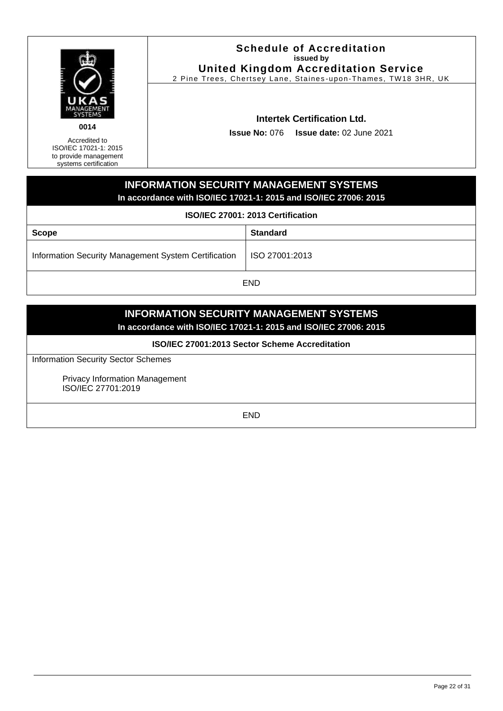

Accredited to

<span id="page-21-0"></span>ISO/IEC 17021-1: 2015 to provide management systems certification

#### **Schedule of Accreditation issued by United Kingdom Accreditation Service**

2 Pine Trees, Chertsey Lane, Staines -upon-Thames, TW18 3HR, UK

## **Intertek Certification Ltd.**

**Issue No:** 076 **Issue date:** 02 June 2021

## **INFORMATION SECURITY MANAGEMENT SYSTEMS In accordance with ISO/IEC 17021-1: 2015 and ISO/IEC 27006: 2015**

**ISO/IEC 27001: 2013 Certification**

| <b>Scope</b>                                         | <b>Standard</b> |  |
|------------------------------------------------------|-----------------|--|
| Information Security Management System Certification | ISO 27001:2013  |  |
| END                                                  |                 |  |

**INFORMATION SECURITY MANAGEMENT SYSTEMS**

**In accordance with ISO/IEC 17021-1: 2015 and ISO/IEC 27006: 2015**

**ISO/IEC 27001:2013 Sector Scheme Accreditation**

Information Security Sector Schemes

Privacy Information Management ISO/IEC 27701:2019

END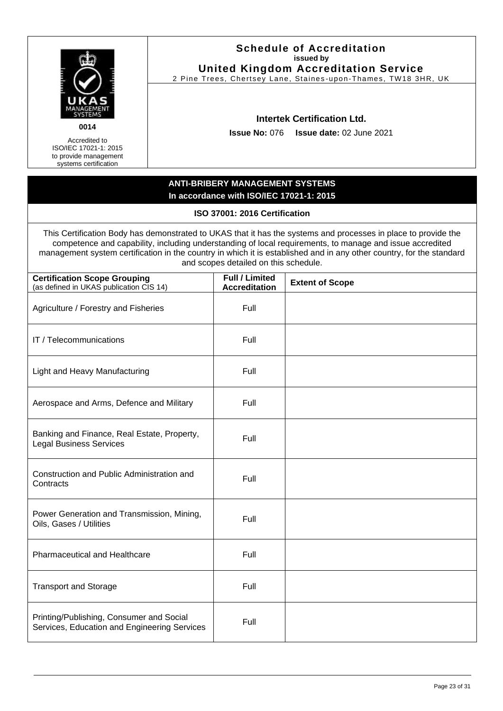<span id="page-22-0"></span>

|                                                                                                                                                                                                                                                                                                                                                                                             |      |                                                                                    | <b>Schedule of Accreditation</b><br>issued by<br><b>United Kingdom Accreditation Service</b><br>2 Pine Trees, Chertsey Lane, Staines-upon-Thames, TW18 3HR, UK |
|---------------------------------------------------------------------------------------------------------------------------------------------------------------------------------------------------------------------------------------------------------------------------------------------------------------------------------------------------------------------------------------------|------|------------------------------------------------------------------------------------|----------------------------------------------------------------------------------------------------------------------------------------------------------------|
| 0014<br>Accredited to<br>ISO/IEC 17021-1: 2015<br>to provide management<br>systems certification                                                                                                                                                                                                                                                                                            |      | <b>Issue No: 076</b>                                                               | <b>Intertek Certification Ltd.</b><br><b>Issue date: 02 June 2021</b>                                                                                          |
|                                                                                                                                                                                                                                                                                                                                                                                             |      | <b>ANTI-BRIBERY MANAGEMENT SYSTEMS</b><br>In accordance with ISO/IEC 17021-1: 2015 |                                                                                                                                                                |
|                                                                                                                                                                                                                                                                                                                                                                                             |      | ISO 37001: 2016 Certification                                                      |                                                                                                                                                                |
| This Certification Body has demonstrated to UKAS that it has the systems and processes in place to provide the<br>competence and capability, including understanding of local requirements, to manage and issue accredited<br>management system certification in the country in which it is established and in any other country, for the standard<br>and scopes detailed on this schedule. |      |                                                                                    |                                                                                                                                                                |
| <b>Certification Scope Grouping</b><br>(as defined in UKAS publication CIS 14)                                                                                                                                                                                                                                                                                                              |      | <b>Full / Limited</b><br><b>Accreditation</b>                                      | <b>Extent of Scope</b>                                                                                                                                         |
| Agriculture / Forestry and Fisheries                                                                                                                                                                                                                                                                                                                                                        |      | Full                                                                               |                                                                                                                                                                |
| IT / Telecommunications                                                                                                                                                                                                                                                                                                                                                                     | Full |                                                                                    |                                                                                                                                                                |
| <b>Light and Heavy Manufacturing</b>                                                                                                                                                                                                                                                                                                                                                        | Full |                                                                                    |                                                                                                                                                                |
| Aerospace and Arms, Defence and Military                                                                                                                                                                                                                                                                                                                                                    |      | Full                                                                               |                                                                                                                                                                |
| Banking and Finance, Real Estate, Property,<br><b>Legal Business Services</b>                                                                                                                                                                                                                                                                                                               |      | Full                                                                               |                                                                                                                                                                |
| Construction and Public Administration and<br>Contracts                                                                                                                                                                                                                                                                                                                                     |      | Full                                                                               |                                                                                                                                                                |
| Power Generation and Transmission, Mining,<br>Oils, Gases / Utilities                                                                                                                                                                                                                                                                                                                       |      | Full                                                                               |                                                                                                                                                                |
| <b>Pharmaceutical and Healthcare</b>                                                                                                                                                                                                                                                                                                                                                        |      | Full                                                                               |                                                                                                                                                                |
| <b>Transport and Storage</b>                                                                                                                                                                                                                                                                                                                                                                |      | Full                                                                               |                                                                                                                                                                |
| Printing/Publishing, Consumer and Social<br>Services, Education and Engineering Services                                                                                                                                                                                                                                                                                                    |      | Full                                                                               |                                                                                                                                                                |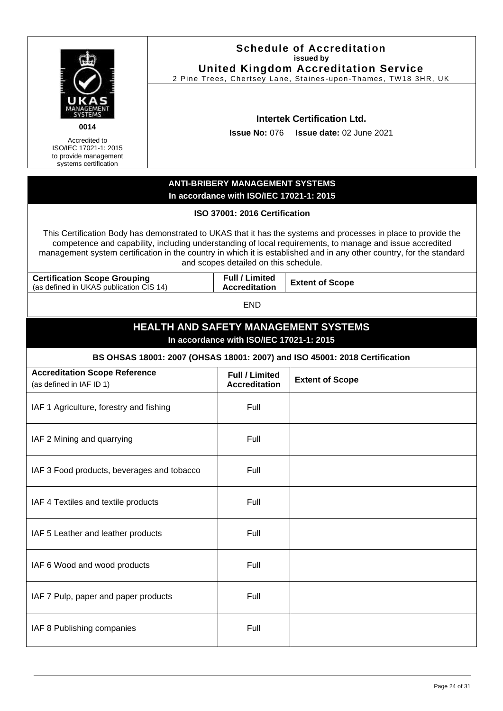<span id="page-23-0"></span>

|                                                                                                                                                                                                                                                                                                                                                                                             |                                             |                                               | <b>Schedule of Accreditation</b><br>issued by<br><b>United Kingdom Accreditation Service</b><br>2 Pine Trees, Chertsey Lane, Staines-upon-Thames, TW18 3HR, UK |
|---------------------------------------------------------------------------------------------------------------------------------------------------------------------------------------------------------------------------------------------------------------------------------------------------------------------------------------------------------------------------------------------|---------------------------------------------|-----------------------------------------------|----------------------------------------------------------------------------------------------------------------------------------------------------------------|
| 0014<br>Accredited to<br>ISO/IEC 17021-1: 2015<br>to provide management<br>systems certification                                                                                                                                                                                                                                                                                            |                                             | <b>Issue No: 076</b>                          | <b>Intertek Certification Ltd.</b><br><b>Issue date: 02 June 2021</b>                                                                                          |
|                                                                                                                                                                                                                                                                                                                                                                                             |                                             | <b>ANTI-BRIBERY MANAGEMENT SYSTEMS</b>        |                                                                                                                                                                |
|                                                                                                                                                                                                                                                                                                                                                                                             |                                             | In accordance with ISO/IEC 17021-1: 2015      |                                                                                                                                                                |
|                                                                                                                                                                                                                                                                                                                                                                                             |                                             | ISO 37001: 2016 Certification                 |                                                                                                                                                                |
| This Certification Body has demonstrated to UKAS that it has the systems and processes in place to provide the<br>competence and capability, including understanding of local requirements, to manage and issue accredited<br>management system certification in the country in which it is established and in any other country, for the standard<br>and scopes detailed on this schedule. |                                             |                                               |                                                                                                                                                                |
| <b>Certification Scope Grouping</b><br>(as defined in UKAS publication CIS 14)                                                                                                                                                                                                                                                                                                              |                                             | <b>Full / Limited</b><br><b>Accreditation</b> | <b>Extent of Scope</b>                                                                                                                                         |
| <b>END</b>                                                                                                                                                                                                                                                                                                                                                                                  |                                             |                                               |                                                                                                                                                                |
|                                                                                                                                                                                                                                                                                                                                                                                             | <b>HEALTH AND SAFETY MANAGEMENT SYSTEMS</b> |                                               |                                                                                                                                                                |
|                                                                                                                                                                                                                                                                                                                                                                                             |                                             | In accordance with ISO/IEC 17021-1: 2015      |                                                                                                                                                                |
|                                                                                                                                                                                                                                                                                                                                                                                             |                                             |                                               | BS OHSAS 18001: 2007 (OHSAS 18001: 2007) and ISO 45001: 2018 Certification                                                                                     |
| <b>Accreditation Scope Reference</b><br>(as defined in IAF ID 1)                                                                                                                                                                                                                                                                                                                            |                                             | <b>Full / Limited</b><br><b>Accreditation</b> | <b>Extent of Scope</b>                                                                                                                                         |
| IAF 1 Agriculture, forestry and fishing                                                                                                                                                                                                                                                                                                                                                     |                                             | Full                                          |                                                                                                                                                                |
| IAF 2 Mining and quarrying                                                                                                                                                                                                                                                                                                                                                                  |                                             | Full                                          |                                                                                                                                                                |
| IAF 3 Food products, beverages and tobacco                                                                                                                                                                                                                                                                                                                                                  |                                             | Full                                          |                                                                                                                                                                |
| IAF 4 Textiles and textile products                                                                                                                                                                                                                                                                                                                                                         |                                             | Full                                          |                                                                                                                                                                |
| IAF 5 Leather and leather products                                                                                                                                                                                                                                                                                                                                                          |                                             | Full                                          |                                                                                                                                                                |
| IAF 6 Wood and wood products                                                                                                                                                                                                                                                                                                                                                                |                                             | Full                                          |                                                                                                                                                                |
| IAF 7 Pulp, paper and paper products                                                                                                                                                                                                                                                                                                                                                        |                                             | Full                                          |                                                                                                                                                                |
| IAF 8 Publishing companies                                                                                                                                                                                                                                                                                                                                                                  |                                             | Full                                          |                                                                                                                                                                |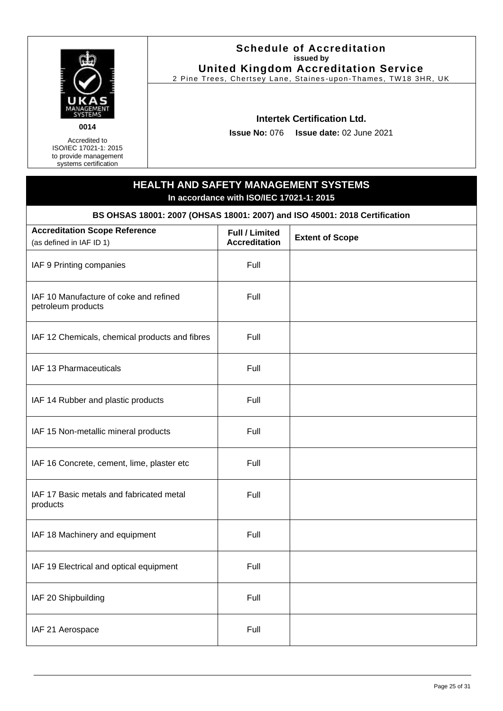

Accredited to ISO/IEC 17021-1: 2015 to provide management systems certification

#### **Schedule of Accreditation issued by United Kingdom Accreditation Service**

2 Pine Trees, Chertsey Lane, Staines -upon-Thames, TW18 3HR, UK

#### **Intertek Certification Ltd.**

**Issue No:** 076 **Issue date:** 02 June 2021

# **HEALTH AND SAFETY MANAGEMENT SYSTEMS In accordance with ISO/IEC 17021-1: 2015 BS OHSAS 18001: 2007 (OHSAS 18001: 2007) and ISO 45001: 2018 Certification Accreditation Scope Reference** (as defined in IAF ID 1) **Full / Limited Accreditation Extent of Scope** IAF 9 Printing companies Full IAF 10 Manufacture of coke and refined petroleum products Full IAF 12 Chemicals, chemical products and fibres  $\vert$  Full IAF 13 Pharmaceuticals Full IAF 14 Rubber and plastic products Full IAF 15 Non-metallic mineral products Full IAF 16 Concrete, cement, lime, plaster etc Full IAF 17 Basic metals and fabricated metal products Full IAF 18 Machinery and equipment Full IAF 19 Electrical and optical equipment Full IAF 20 Shipbuilding Full and Full and Full and Full and Full and Full and Full and Full and Full and Full and Full and Full and Full and Full and Full and Full and Full and Full and Full and Full and Full and Full and Full

IAF 21 Aerospace Full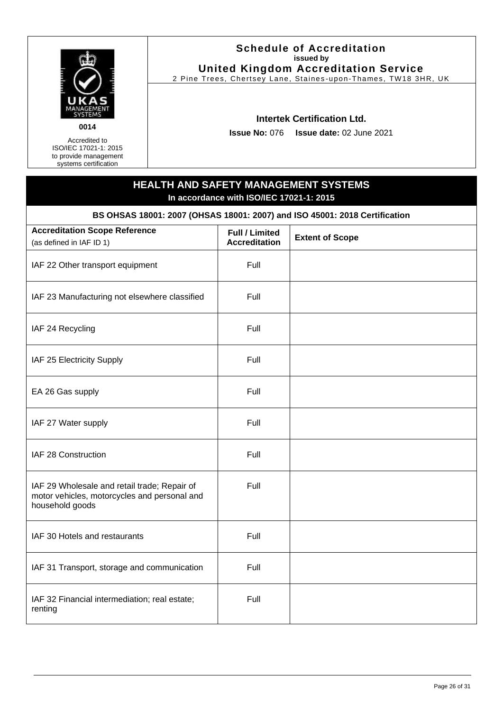

Accredited to

ISO/IEC 17021-1: 2015 to provide management systems certification

#### **Schedule of Accreditation issued by United Kingdom Accreditation Service**

2 Pine Trees, Chertsey Lane, Staines -upon-Thames, TW18 3HR, UK

#### **Intertek Certification Ltd.**

**Issue No:** 076 **Issue date:** 02 June 2021

## **HEALTH AND SAFETY MANAGEMENT SYSTEMS In accordance with ISO/IEC 17021-1: 2015 BS OHSAS 18001: 2007 (OHSAS 18001: 2007) and ISO 45001: 2018 Certification Accreditation Scope Reference** (as defined in IAF ID 1) **Full / Limited Accreditation Extent of Scope** IAF 22 Other transport equipment Full IAF 23 Manufacturing not elsewhere classified | Full IAF 24 Recycling Full IAF 25 Electricity Supply Full EA 26 Gas supply Full IAF 27 Water supply Full IAF 28 Construction **Full** Full IAF 29 Wholesale and retail trade; Repair of motor vehicles, motorcycles and personal and household goods Full IAF 30 Hotels and restaurants Full IAF 31 Transport, storage and communication | Full IAF 32 Financial intermediation; real estate; renting Full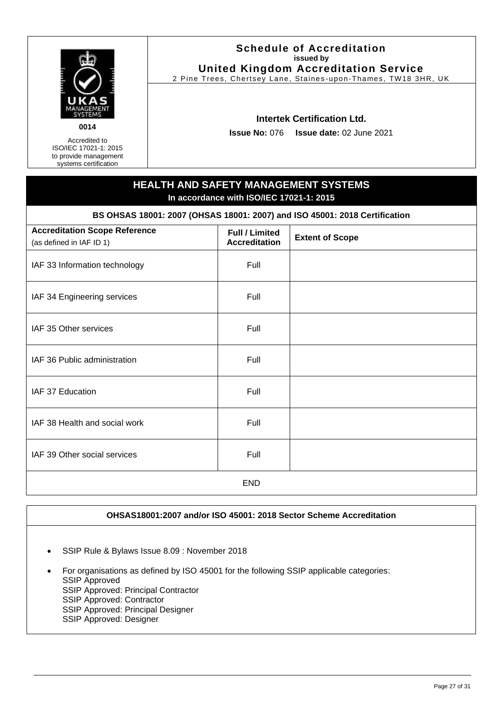

Accredited to ISO/IEC 17021-1: 2015 to provide management systems certification

#### **Schedule of Accreditation issued by United Kingdom Accreditation Service**

2 Pine Trees, Chertsey Lane, Staines -upon-Thames, TW18 3HR, UK

#### **Intertek Certification Ltd.**

**Issue No:** 076 **Issue date:** 02 June 2021

## **HEALTH AND SAFETY MANAGEMENT SYSTEMS In accordance with ISO/IEC 17021-1: 2015 BS OHSAS 18001: 2007 (OHSAS 18001: 2007) and ISO 45001: 2018 Certification Accreditation Scope Reference Full / Limited**

| (as defined in IAF ID 1)      | <u>, an , come a</u><br><b>Accreditation</b> | <b>Extent of Scope</b> |
|-------------------------------|----------------------------------------------|------------------------|
| IAF 33 Information technology | Full                                         |                        |
| IAF 34 Engineering services   | Full                                         |                        |
| IAF 35 Other services         | Full                                         |                        |
| IAF 36 Public administration  | Full                                         |                        |
| IAF 37 Education              | Full                                         |                        |
| IAF 38 Health and social work | Full                                         |                        |
| IAF 39 Other social services  | Full                                         |                        |
|                               | <b>END</b>                                   |                        |

#### **OHSAS18001:2007 and/or ISO 45001: 2018 Sector Scheme Accreditation**

- SSIP Rule & Bylaws Issue 8.09 : November 2018
- For organisations as defined by ISO 45001 for the following SSIP applicable categories: SSIP Approved SSIP Approved: Principal Contractor SSIP Approved: Contractor SSIP Approved: Principal Designer SSIP Approved: Designer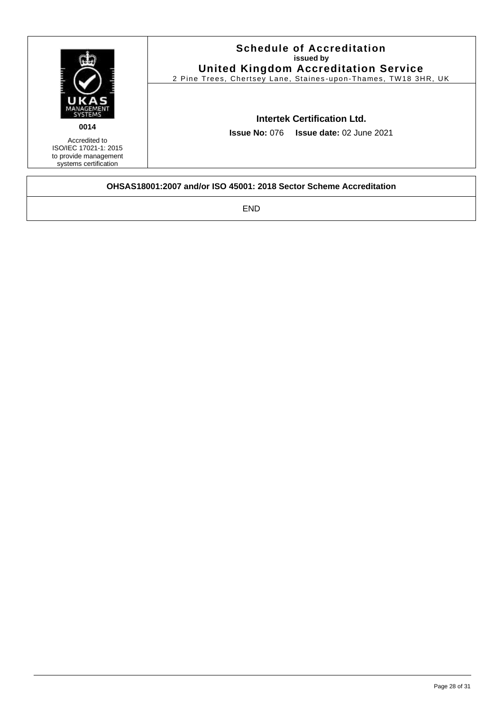|                                                                                                  | <b>Schedule of Accreditation</b><br>issued by<br><b>United Kingdom Accreditation Service</b><br>2 Pine Trees, Chertsey Lane, Staines-upon-Thames, TW18 3HR, UK |  |  |
|--------------------------------------------------------------------------------------------------|----------------------------------------------------------------------------------------------------------------------------------------------------------------|--|--|
| 0014<br>Accredited to<br>ISO/IEC 17021-1: 2015<br>to provide management<br>systems certification | <b>Intertek Certification Ltd.</b><br><b>Issue No: 076 Issue date: 02 June 2021</b>                                                                            |  |  |
|                                                                                                  | OHSAS18001:2007 and/or ISO 45001: 2018 Sector Scheme Accreditation                                                                                             |  |  |

END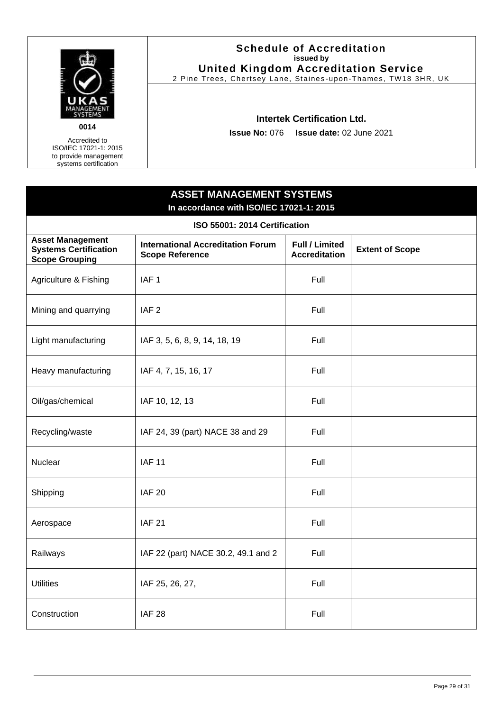

#### **Schedule of Accreditation issued by United Kingdom Accreditation Service**

2 Pine Trees, Chertsey Lane, Staines -upon-Thames, TW18 3HR, UK

#### **Intertek Certification Ltd.**

**Issue No:** 076 **Issue date:** 02 June 2021

# <span id="page-28-0"></span>**ASSET MANAGEMENT SYSTEMS In accordance with ISO/IEC 17021-1: 2015 ISO 55001: 2014 Certification Asset Management Systems Certification Scope Grouping International Accreditation Forum Scope Reference Full / Limited Extent of Scope** Agriculture & Fishing | IAF 1 Full Mining and quarrying IAF 2 Full Light manufacturing  $\vert$  IAF 3, 5, 6, 8, 9, 14, 18, 19 Full Heavy manufacturing  $\vert$  IAF 4, 7, 15, 16, 17 Full Oil/gas/chemical | IAF 10, 12, 13 | Full Recycling/waste | IAF 24, 39 (part) NACE 38 and 29 | Full Nuclear **IAF 11** IAF 11 **Full** Shipping | IAF 20 Full Aerospace IAF 21 Full Railways | IAF 22 (part) NACE 30.2, 49.1 and 2 | Full Utilities | IAF 25, 26, 27, Full Construction IAF 28 Full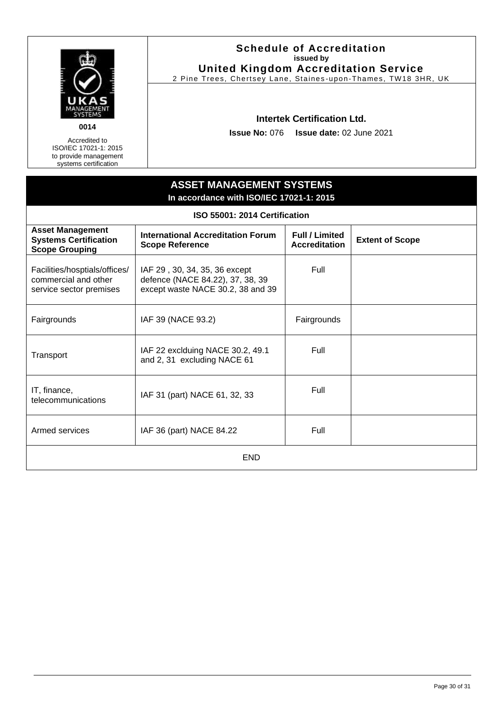